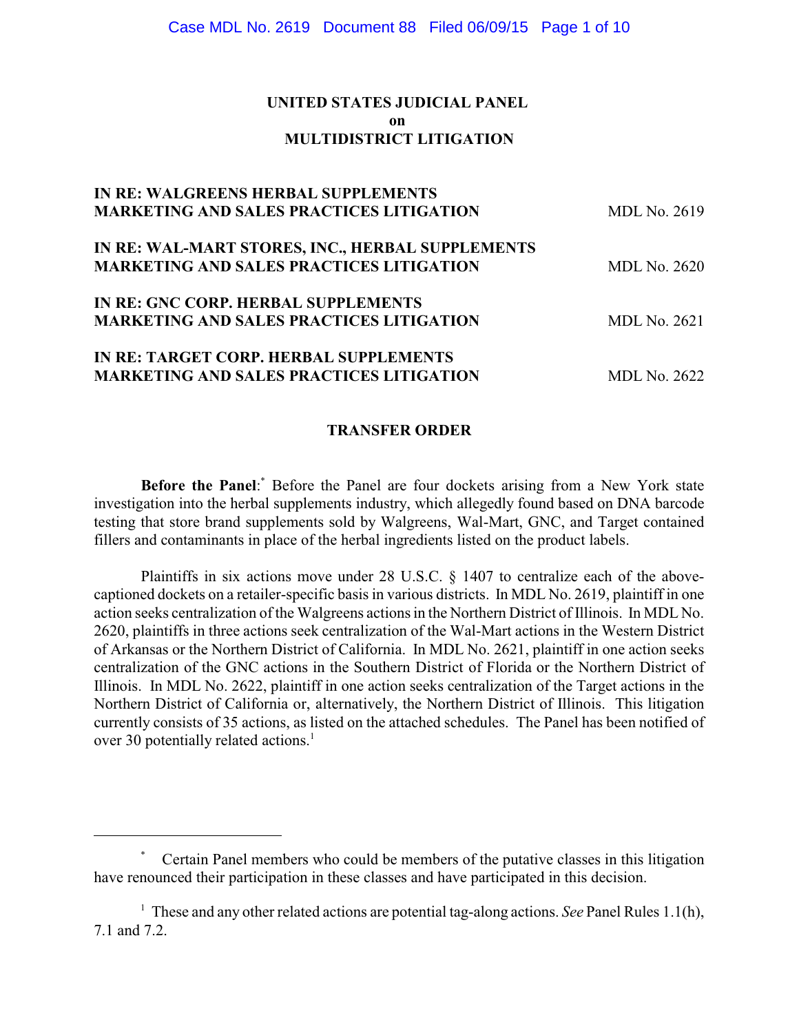# **UNITED STATES JUDICIAL PANEL on MULTIDISTRICT LITIGATION**

| <b>IN RE: WALGREENS HERBAL SUPPLEMENTS</b>       |                     |
|--------------------------------------------------|---------------------|
| <b>MARKETING AND SALES PRACTICES LITIGATION</b>  | MDL No. 2619        |
| IN RE: WAL-MART STORES, INC., HERBAL SUPPLEMENTS |                     |
| <b>MARKETING AND SALES PRACTICES LITIGATION</b>  | <b>MDL No. 2620</b> |
| IN RE: GNC CORP. HERBAL SUPPLEMENTS              |                     |
| <b>MARKETING AND SALES PRACTICES LITIGATION</b>  | <b>MDL No. 2621</b> |
| IN RE: TARGET CORP. HERBAL SUPPLEMENTS           |                     |
| <b>MARKETING AND SALES PRACTICES LITIGATION</b>  | <b>MDL No. 2622</b> |

# **TRANSFER ORDER**

**Before the Panel:** Before the Panel are four dockets arising from a New York state investigation into the herbal supplements industry, which allegedly found based on DNA barcode testing that store brand supplements sold by Walgreens, Wal-Mart, GNC, and Target contained fillers and contaminants in place of the herbal ingredients listed on the product labels.

Plaintiffs in six actions move under 28 U.S.C. § 1407 to centralize each of the abovecaptioned dockets on a retailer-specific basis in various districts. In MDL No. 2619, plaintiff in one action seeks centralization of the Walgreens actions in the Northern District of Illinois. In MDL No. 2620, plaintiffs in three actions seek centralization of the Wal-Mart actions in the Western District of Arkansas or the Northern District of California. In MDL No. 2621, plaintiff in one action seeks centralization of the GNC actions in the Southern District of Florida or the Northern District of Illinois. In MDL No. 2622, plaintiff in one action seeks centralization of the Target actions in the Northern District of California or, alternatively, the Northern District of Illinois. This litigation currently consists of 35 actions, as listed on the attached schedules. The Panel has been notified of over 30 potentially related actions.<sup>1</sup>

Certain Panel members who could be members of the putative classes in this litigation \* have renounced their participation in these classes and have participated in this decision.

 $\frac{1}{1}$  These and any other related actions are potential tag-along actions. *See* Panel Rules 1.1(h), 7.1 and 7.2.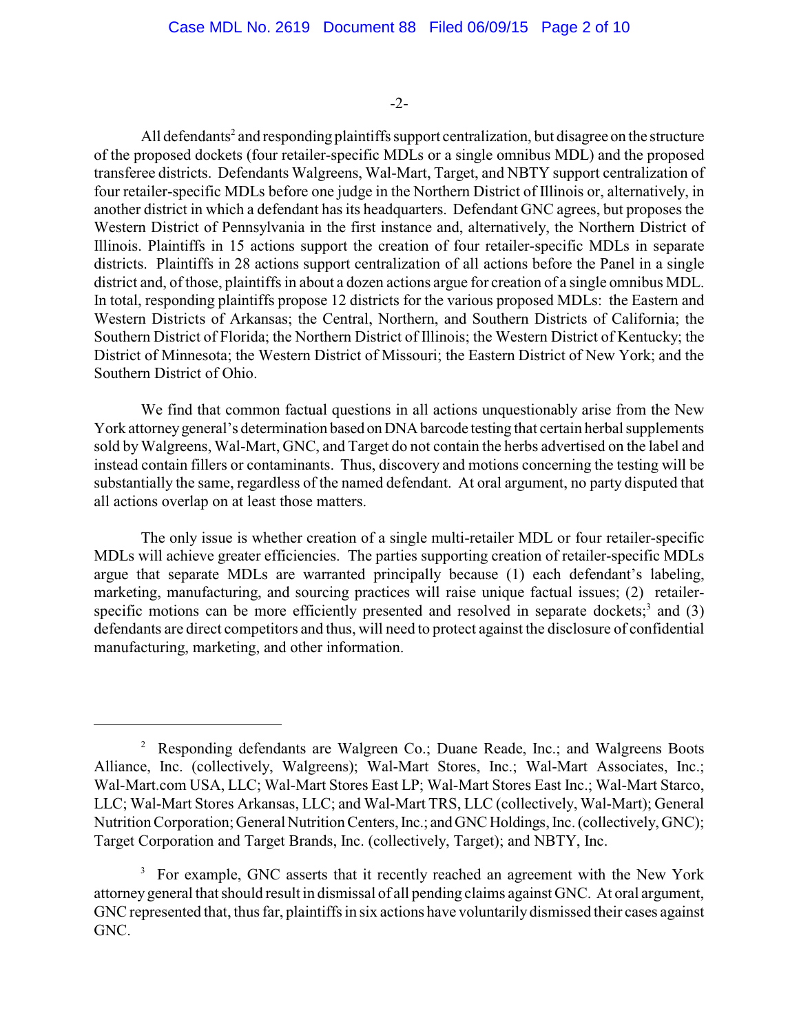#### -2-

All defendants<sup>2</sup> and responding plaintiffs support centralization, but disagree on the structure of the proposed dockets (four retailer-specific MDLs or a single omnibus MDL) and the proposed transferee districts. Defendants Walgreens, Wal-Mart, Target, and NBTY support centralization of four retailer-specific MDLs before one judge in the Northern District of Illinois or, alternatively, in another district in which a defendant has its headquarters. Defendant GNC agrees, but proposes the Western District of Pennsylvania in the first instance and, alternatively, the Northern District of Illinois. Plaintiffs in 15 actions support the creation of four retailer-specific MDLs in separate districts. Plaintiffs in 28 actions support centralization of all actions before the Panel in a single district and, of those, plaintiffs in about a dozen actions argue for creation of a single omnibus MDL. In total, responding plaintiffs propose 12 districts for the various proposed MDLs: the Eastern and Western Districts of Arkansas; the Central, Northern, and Southern Districts of California; the Southern District of Florida; the Northern District of Illinois; the Western District of Kentucky; the District of Minnesota; the Western District of Missouri; the Eastern District of New York; and the Southern District of Ohio.

We find that common factual questions in all actions unquestionably arise from the New York attorney general's determination based on DNA barcode testing that certain herbal supplements sold byWalgreens, Wal-Mart, GNC, and Target do not contain the herbs advertised on the label and instead contain fillers or contaminants. Thus, discovery and motions concerning the testing will be substantially the same, regardless of the named defendant. At oral argument, no party disputed that all actions overlap on at least those matters.

The only issue is whether creation of a single multi-retailer MDL or four retailer-specific MDLs will achieve greater efficiencies. The parties supporting creation of retailer-specific MDLs argue that separate MDLs are warranted principally because (1) each defendant's labeling, marketing, manufacturing, and sourcing practices will raise unique factual issues; (2) retailerspecific motions can be more efficiently presented and resolved in separate dockets;<sup>3</sup> and (3) defendants are direct competitors and thus, will need to protect against the disclosure of confidential manufacturing, marketing, and other information.

<sup>&</sup>lt;sup>2</sup> Responding defendants are Walgreen Co.; Duane Reade, Inc.; and Walgreens Boots Alliance, Inc. (collectively, Walgreens); Wal-Mart Stores, Inc.; Wal-Mart Associates, Inc.; Wal-Mart.com USA, LLC; Wal-Mart Stores East LP; Wal-Mart Stores East Inc.; Wal-Mart Starco, LLC; Wal-Mart Stores Arkansas, LLC; and Wal-Mart TRS, LLC (collectively, Wal-Mart); General Nutrition Corporation; General Nutrition Centers, Inc.; and GNC Holdings, Inc. (collectively, GNC); Target Corporation and Target Brands, Inc. (collectively, Target); and NBTY, Inc.

<sup>&</sup>lt;sup>3</sup> For example, GNC asserts that it recently reached an agreement with the New York attorneygeneral that should result in dismissal of all pending claims against GNC. At oral argument, GNC represented that, thus far, plaintiffs in six actions have voluntarily dismissed their cases against GNC.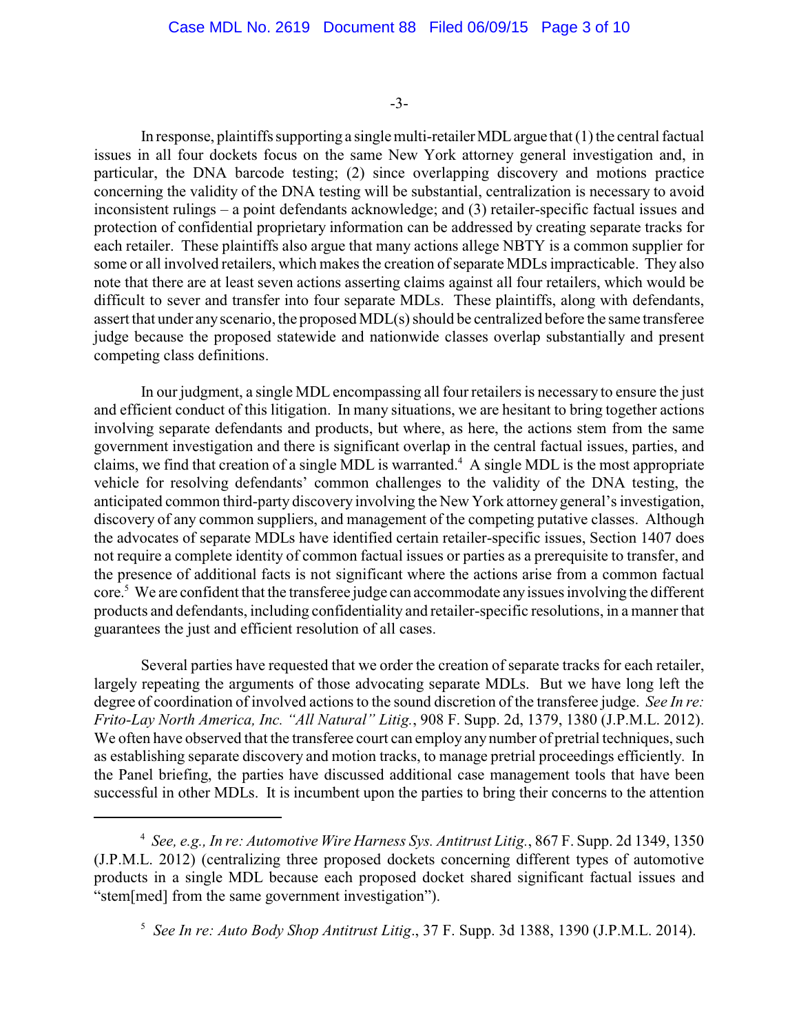-3-

In response, plaintiffs supporting a single multi-retailer MDL argue that  $(1)$  the central factual issues in all four dockets focus on the same New York attorney general investigation and, in particular, the DNA barcode testing; (2) since overlapping discovery and motions practice concerning the validity of the DNA testing will be substantial, centralization is necessary to avoid inconsistent rulings – a point defendants acknowledge; and (3) retailer-specific factual issues and protection of confidential proprietary information can be addressed by creating separate tracks for each retailer. These plaintiffs also argue that many actions allege NBTY is a common supplier for some or all involved retailers, which makes the creation of separate MDLs impracticable. They also note that there are at least seven actions asserting claims against all four retailers, which would be difficult to sever and transfer into four separate MDLs. These plaintiffs, along with defendants, assert that under anyscenario, the proposed MDL(s) should be centralized before the same transferee judge because the proposed statewide and nationwide classes overlap substantially and present competing class definitions.

In our judgment, a single MDL encompassing all four retailers is necessary to ensure the just and efficient conduct of this litigation. In many situations, we are hesitant to bring together actions involving separate defendants and products, but where, as here, the actions stem from the same government investigation and there is significant overlap in the central factual issues, parties, and claims, we find that creation of a single MDL is warranted.<sup>4</sup> A single MDL is the most appropriate vehicle for resolving defendants' common challenges to the validity of the DNA testing, the anticipated common third-party discovery involving the New York attorney general's investigation, discovery of any common suppliers, and management of the competing putative classes. Although the advocates of separate MDLs have identified certain retailer-specific issues, Section 1407 does not require a complete identity of common factual issues or parties as a prerequisite to transfer, and the presence of additional facts is not significant where the actions arise from a common factual core.<sup>5</sup> We are confident that the transferee judge can accommodate any issues involving the different products and defendants, including confidentiality and retailer-specific resolutions, in a manner that guarantees the just and efficient resolution of all cases.

Several parties have requested that we order the creation of separate tracks for each retailer, largely repeating the arguments of those advocating separate MDLs. But we have long left the degree of coordination of involved actions to the sound discretion of the transferee judge. *See In re: Frito-Lay North America, Inc. "All Natural" Litig.*, 908 F. Supp. 2d, 1379, 1380 (J.P.M.L. 2012). We often have observed that the transferee court can employ any number of pretrial techniques, such as establishing separate discovery and motion tracks, to manage pretrial proceedings efficiently. In the Panel briefing, the parties have discussed additional case management tools that have been successful in other MDLs. It is incumbent upon the parties to bring their concerns to the attention

<sup>&</sup>lt;sup>4</sup> See, e.g., In re: Automotive Wire Harness Sys. Antitrust Litig., 867 F. Supp. 2d 1349, 1350 (J.P.M.L. 2012) (centralizing three proposed dockets concerning different types of automotive products in a single MDL because each proposed docket shared significant factual issues and "stem[med] from the same government investigation").

<sup>&</sup>lt;sup>5</sup> See In re: Auto Body Shop Antitrust Litig., 37 F. Supp. 3d 1388, 1390 (J.P.M.L. 2014).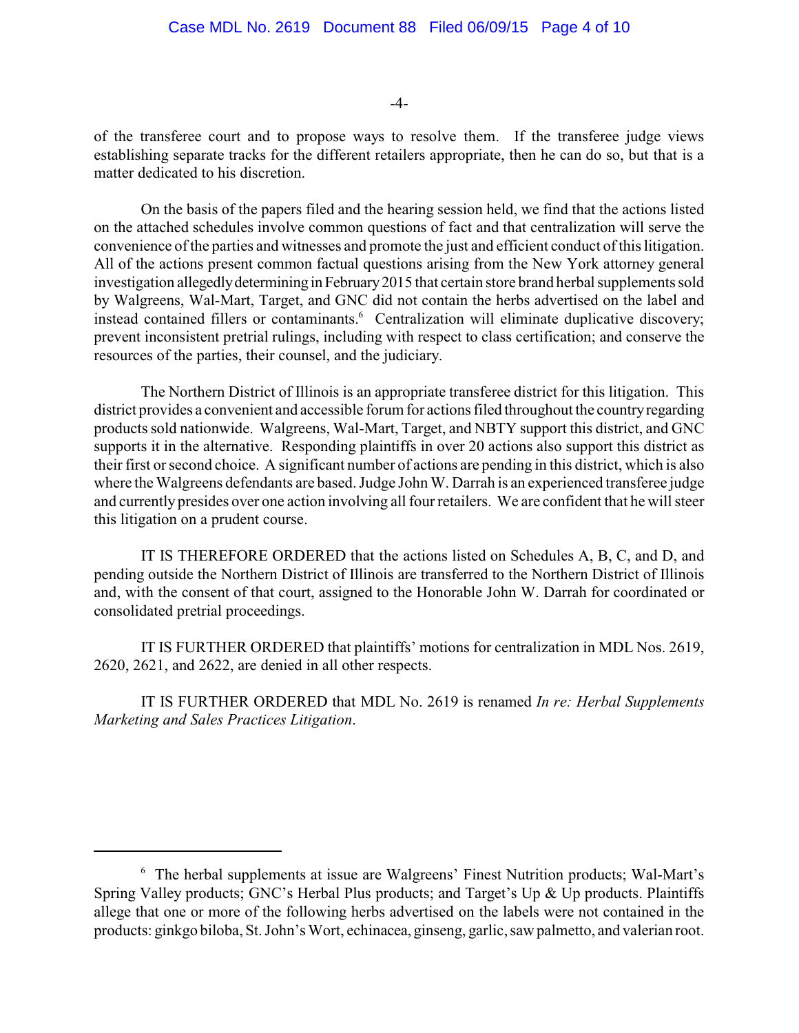-4-

of the transferee court and to propose ways to resolve them. If the transferee judge views establishing separate tracks for the different retailers appropriate, then he can do so, but that is a matter dedicated to his discretion.

On the basis of the papers filed and the hearing session held, we find that the actions listed on the attached schedules involve common questions of fact and that centralization will serve the convenience of the parties and witnesses and promote the just and efficient conduct of this litigation. All of the actions present common factual questions arising from the New York attorney general investigation allegedlydetermining inFebruary2015 that certain store brand herbal supplements sold by Walgreens, Wal-Mart, Target, and GNC did not contain the herbs advertised on the label and instead contained fillers or contaminants.<sup>6</sup> Centralization will eliminate duplicative discovery; prevent inconsistent pretrial rulings, including with respect to class certification; and conserve the resources of the parties, their counsel, and the judiciary.

The Northern District of Illinois is an appropriate transferee district for this litigation. This district provides a convenient and accessible forum for actions filed throughout the countryregarding products sold nationwide. Walgreens, Wal-Mart, Target, and NBTY support this district, and GNC supports it in the alternative. Responding plaintiffs in over 20 actions also support this district as their first or second choice. A significant number of actions are pending in this district, which is also where the Walgreens defendants are based. Judge John W. Darrah is an experienced transferee judge and currently presides over one action involving all four retailers. We are confident that he will steer this litigation on a prudent course.

IT IS THEREFORE ORDERED that the actions listed on Schedules A, B, C, and D, and pending outside the Northern District of Illinois are transferred to the Northern District of Illinois and, with the consent of that court, assigned to the Honorable John W. Darrah for coordinated or consolidated pretrial proceedings.

IT IS FURTHER ORDERED that plaintiffs' motions for centralization in MDL Nos. 2619, 2620, 2621, and 2622, are denied in all other respects.

IT IS FURTHER ORDERED that MDL No. 2619 is renamed *In re: Herbal Supplements Marketing and Sales Practices Litigation*.

<sup>&</sup>lt;sup>6</sup> The herbal supplements at issue are Walgreens' Finest Nutrition products; Wal-Mart's Spring Valley products; GNC's Herbal Plus products; and Target's Up & Up products. Plaintiffs allege that one or more of the following herbs advertised on the labels were not contained in the products: ginkgo biloba, St. John's Wort, echinacea, ginseng, garlic, saw palmetto, and valerian root.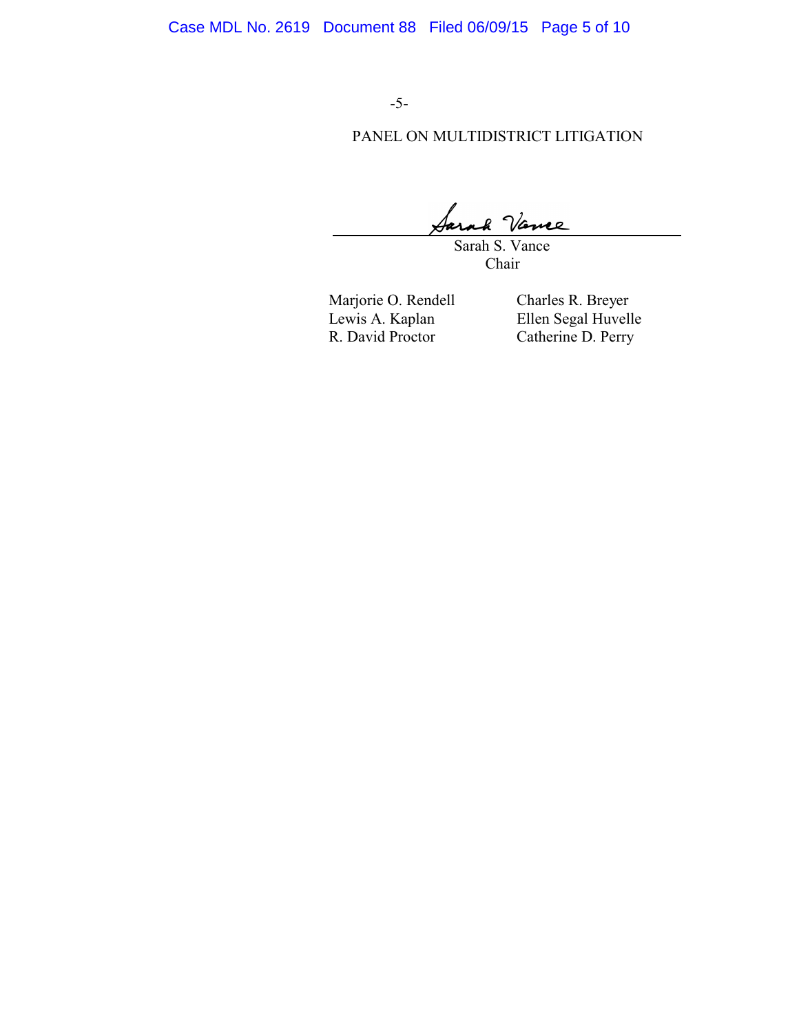-5-

# PANEL ON MULTIDISTRICT LITIGATION

re

 Sarah S. Vance Chair

Marjorie O. Rendell Charles R. Breyer<br>Lewis A. Kaplan Ellen Segal Huvell

Lewis A. Kaplan Ellen Segal Huvelle<br>R. David Proctor Catherine D. Perry Catherine D. Perry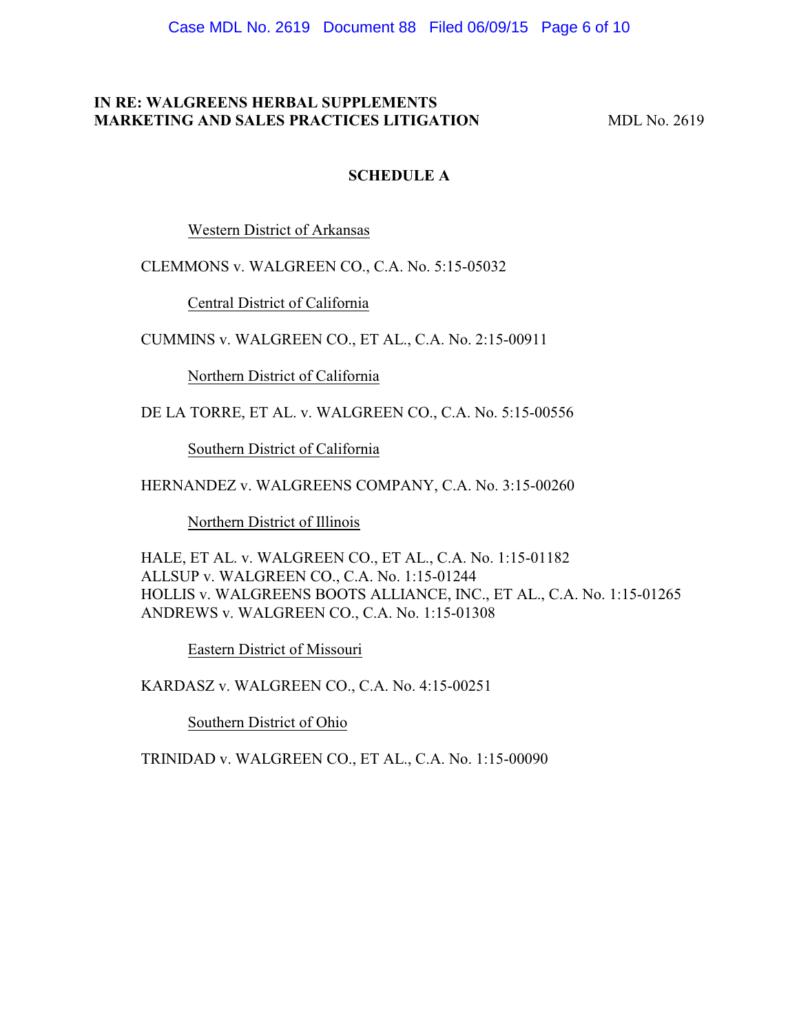### **IN RE: WALGREENS HERBAL SUPPLEMENTS MARKETING AND SALES PRACTICES LITIGATION MDL No. 2619**

### **SCHEDULE A**

Western District of Arkansas

CLEMMONS v. WALGREEN CO., C.A. No. 5:15-05032

Central District of California

CUMMINS v. WALGREEN CO., ET AL., C.A. No. 2:15-00911

Northern District of California

DE LA TORRE, ET AL. v. WALGREEN CO., C.A. No. 5:15-00556

Southern District of California

HERNANDEZ v. WALGREENS COMPANY, C.A. No. 3:15-00260

Northern District of Illinois

HALE, ET AL. v. WALGREEN CO., ET AL., C.A. No. 1:15-01182 ALLSUP v. WALGREEN CO., C.A. No. 1:15-01244 HOLLIS v. WALGREENS BOOTS ALLIANCE, INC., ET AL., C.A. No. 1:15-01265 ANDREWS v. WALGREEN CO., C.A. No. 1:15-01308

Eastern District of Missouri

KARDASZ v. WALGREEN CO., C.A. No. 4:15-00251

Southern District of Ohio

TRINIDAD v. WALGREEN CO., ET AL., C.A. No. 1:15-00090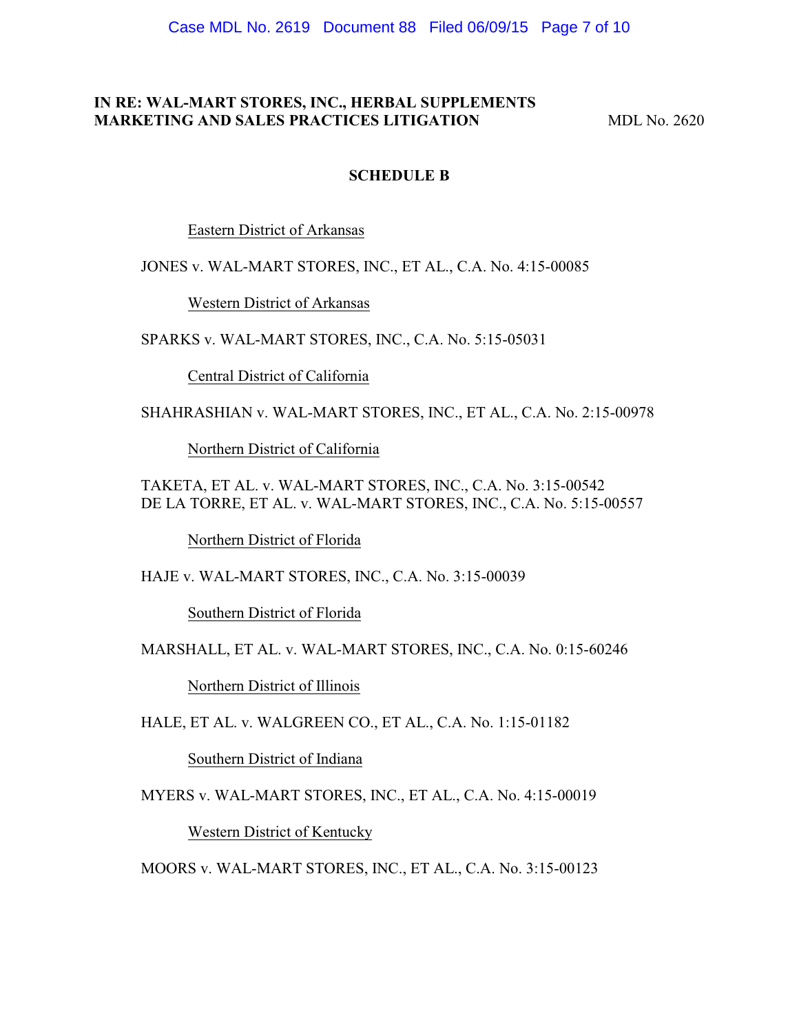### **IN RE: WAL-MART STORES, INC., HERBAL SUPPLEMENTS MARKETING AND SALES PRACTICES LITIGATION MDL No. 2620**

#### **SCHEDULE B**

Eastern District of Arkansas

JONES v. WAL-MART STORES, INC., ET AL., C.A. No. 4:15-00085

Western District of Arkansas

SPARKS v. WAL-MART STORES, INC., C.A. No. 5:15-05031

Central District of California

SHAHRASHIAN v. WAL-MART STORES, INC., ET AL., C.A. No. 2:15-00978

Northern District of California

TAKETA, ET AL. v. WAL-MART STORES, INC., C.A. No. 3:15-00542 DE LA TORRE, ET AL. v. WAL-MART STORES, INC., C.A. No. 5:15-00557

Northern District of Florida

HAJE v. WAL-MART STORES, INC., C.A. No. 3:15-00039

Southern District of Florida

MARSHALL, ET AL. v. WAL-MART STORES, INC., C.A. No. 0:15-60246

Northern District of Illinois

HALE, ET AL. v. WALGREEN CO., ET AL., C.A. No. 1:15-01182

Southern District of Indiana

MYERS v. WAL-MART STORES, INC., ET AL., C.A. No. 4:15-00019

Western District of Kentucky

MOORS v. WAL-MART STORES, INC., ET AL., C.A. No. 3:15-00123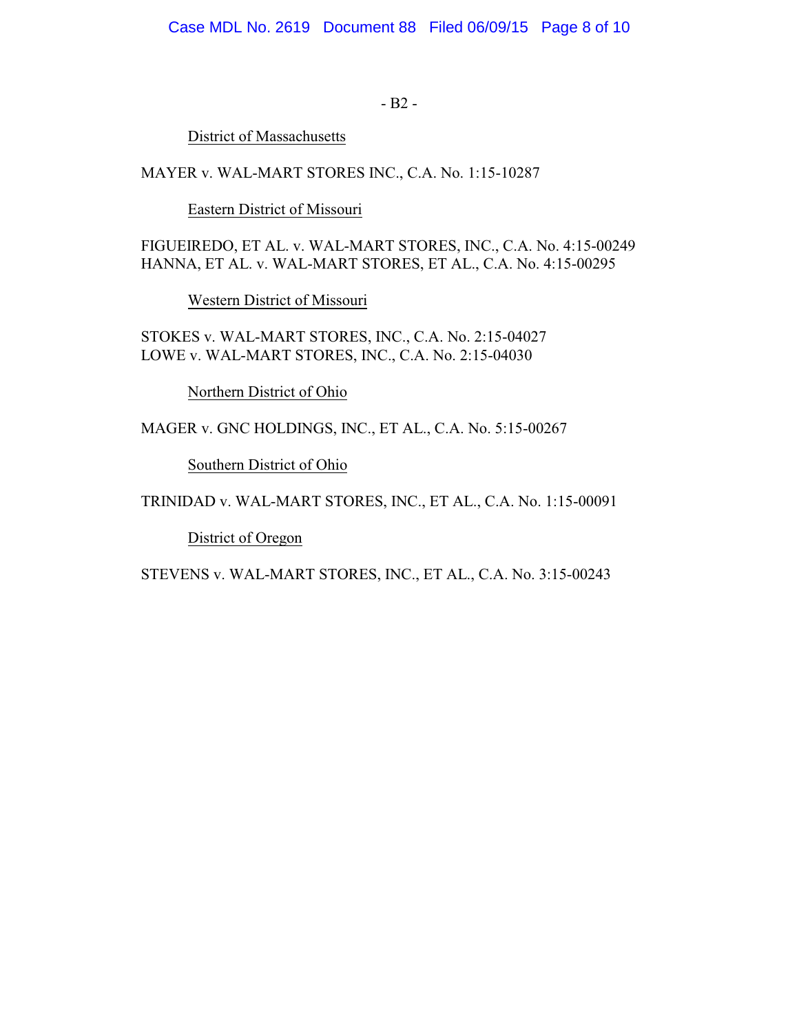- B2 -

District of Massachusetts

MAYER v. WAL-MART STORES INC., C.A. No. 1:15-10287

Eastern District of Missouri

FIGUEIREDO, ET AL. v. WAL-MART STORES, INC., C.A. No. 4:15-00249 HANNA, ET AL. v. WAL-MART STORES, ET AL., C.A. No. 4:15-00295

Western District of Missouri

STOKES v. WAL-MART STORES, INC., C.A. No. 2:15-04027 LOWE v. WAL-MART STORES, INC., C.A. No. 2:15-04030

Northern District of Ohio

MAGER v. GNC HOLDINGS, INC., ET AL., C.A. No. 5:15-00267

Southern District of Ohio

TRINIDAD v. WAL-MART STORES, INC., ET AL., C.A. No. 1:15-00091

District of Oregon

STEVENS v. WAL-MART STORES, INC., ET AL., C.A. No. 3:15-00243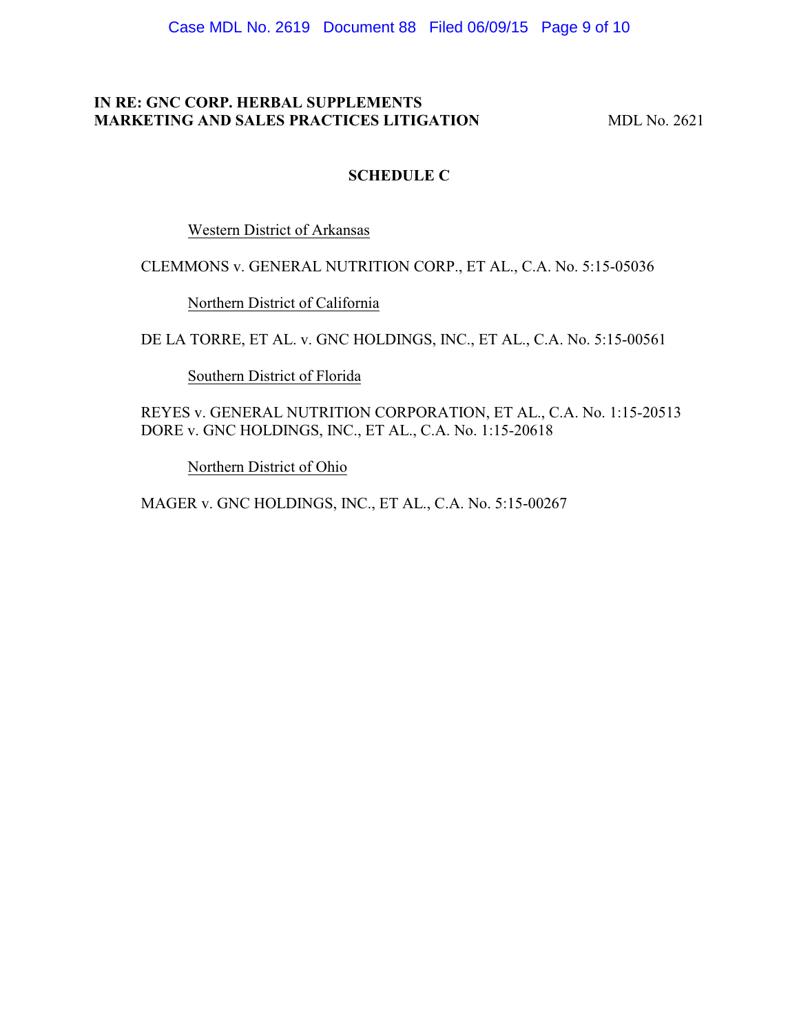# **IN RE: GNC CORP. HERBAL SUPPLEMENTS MARKETING AND SALES PRACTICES LITIGATION MDL No. 2621**

# **SCHEDULE C**

Western District of Arkansas

CLEMMONS v. GENERAL NUTRITION CORP., ET AL., C.A. No. 5:15-05036

Northern District of California

DE LA TORRE, ET AL. v. GNC HOLDINGS, INC., ET AL., C.A. No. 5:15-00561

Southern District of Florida

REYES v. GENERAL NUTRITION CORPORATION, ET AL., C.A. No. 1:15-20513 DORE v. GNC HOLDINGS, INC., ET AL., C.A. No. 1:15-20618

Northern District of Ohio

MAGER v. GNC HOLDINGS, INC., ET AL., C.A. No. 5:15-00267